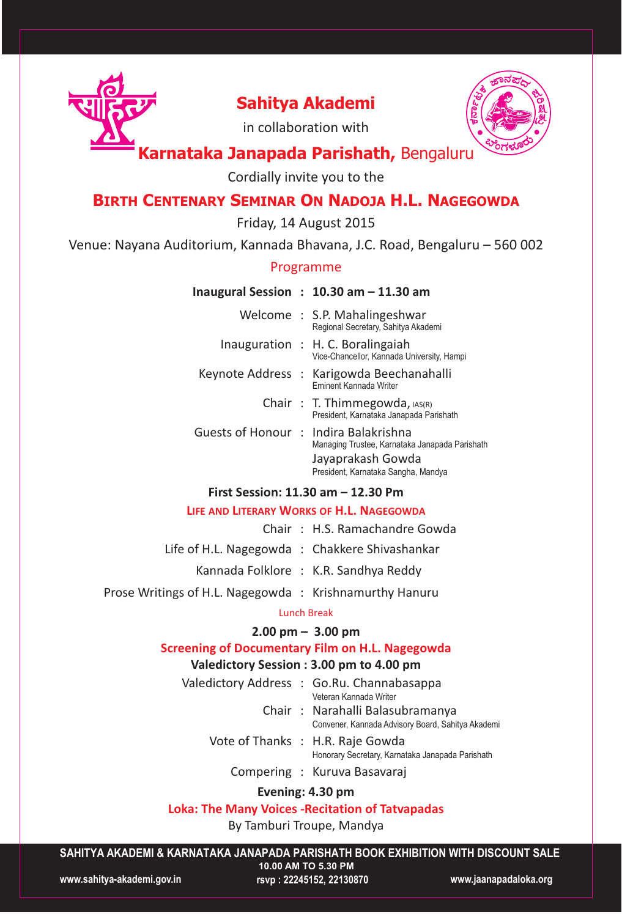

# **Sahitya Akademi**



in collaboration with

## **Karnataka Janapada Parishath,** Bengaluru

Cordially invite you to the

## **BIRTH CENTENARY SEMINAR ON NADOJA H.L. NAGEGOWDA**

Friday, 14 August 2015

Venue: Nayana Auditorium, Kannada Bhavana, J.C. Road, Bengaluru – 560 002

#### Programme

#### **Inaugural Session : 10.30 am – 11.30 am**

|  | Welcome: S.P. Mahalingeshwar<br>Regional Secretary, Sahitya Akademi                    |
|--|----------------------------------------------------------------------------------------|
|  | Inauguration : H. C. Boralingaiah<br>Vice-Chancellor, Kannada University, Hampi        |
|  | Keynote Address: Karigowda Beechanahalli<br><b>Eminent Kannada Writer</b>              |
|  | Chair: T. Thimmegowda, $ AS(R) $<br>President, Karnataka Janapada Parishath            |
|  | Guests of Honour: Indira Balakrishna<br>Managing Trustee, Karnataka Janapada Parishath |
|  | Jayaprakash Gowda<br>President, Karnataka Sangha, Mandya                               |

### **First Session: 11.30 am – 12.30 Pm**

#### **LIFE AND LITERARY WORKS OF H.L. NAGEGOWDA**

- Chair : H.S. Ramachandre Gowda Life of H.L. Nagegowda : Chakkere Shivashankar
	- Kannada Folklore : K.R. Sandhya Reddy
- Prose Writings of H.L. Nagegowda : Krishnamurthy Hanuru

#### Lunch Break

### **2.00 pm – 3.00 pm**

#### **Screening of Documentary Film on H.L. Nagegowda**

### **Valedictory Session : 3.00 pm to 4.00 pm**

- Valedictory Address : Go.Ru. Channabasappa Veteran Kannada Writer
	- Chair : Narahalli Balasubramanya Convener, Kannada Advisory Board, Sahitya Akademi
	- Vote of Thanks : H.R. Raje Gowda
		- Honorary Secretary, Karnataka Janapada Parishath
		- Compering : Kuruva Basavaraj

### **Evening: 4.30 pm**

### **Loka: The Many Voices -Recitation of Tatvapadas**

By Tamburi Troupe, Mandya

**SAHITYA AKADEMI & KARNATAKA JANAPADA PARISHATH BOOK EXHIBITION WITH DISCOUNT SALE**

**www.sahitya-akademi.gov.in rsvp : 22245152, 22130870 www.jaanapadaloka.org** 

**10.00 AM TO 5.30 PM**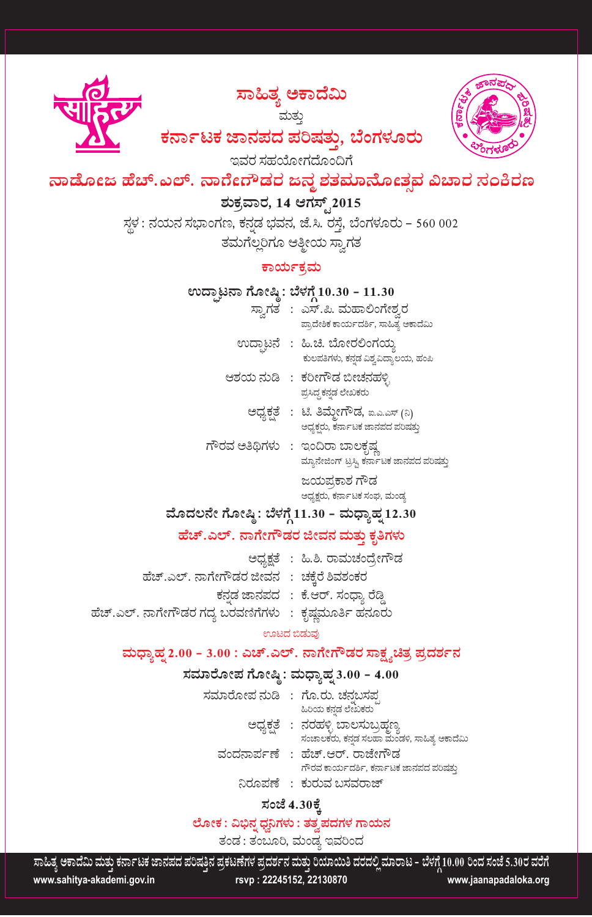ಸಾಹಿತ್ಯ ಅಕಾದೆಮಿ

ಮತ್ತು



ಕರ್ನಾಟಕ ಜಾನಪದ ಪರಿಷತು, ಬೆಂಗಳೂರು

ಇವರ ಸಹಯೋಗದೊಂದಿಗೆ

ನಾಡೋಜ ಹೆಚ್.ಎಲ್. ನಾರ್ಗೆರೌಡರ ಜನ್ನ ಶತಮಾನೋತ್ಸವ ವಿಚಾರ ಸಂಕಿರಣ

## ಶುಕ್ತವಾರ, 14 ಆಗಸ್ಟ್2015

ಸ್ಥಳ : ನಯನ ಸಭಾಂಗಣ, ಕನ್ನಡ ಭವನ, ಜೆ.ಸಿ. ರಸ್ತೆ, ಬೆಂಗಳೂರು – 560 002 ತಮಗೆಲ್ಲರಿಗೂ ಆತ್ಮೀಯ ಸ್ವಾಗತ

### ಕಾರ್ಯಕ್ರಮ

### ಉದ್ಘಾಟನಾ ಗೋಷ್ಠಿ: ಬೆಳಗ್ಗೆ 10.30 - 11.30

- ಸ್ವಾಗತ : ಎಸ್.ಪಿ. ಮಹಾಲಿಂಗೇಶ್ವರ ಪ್ರಾದೇಶಿಕ ಕಾರ್ಯದರ್ಶಿ, ಸಾಹಿತ್ಯ ಅಕಾದೆಮಿ ಉದ್ಘಾಟನೆ : ಹಿ.ಚಿ. ಬೋರಲಿಂಗಯ್ತ
- ಕುಲಪತಿಗಳು, ಕನ್ನಡ ವಿಶ್ವವಿದ್ಯಾಲಯ, ಹಂಪಿ ಆಶಯ ನುಡಿ : ಕರೀಗೌಡ ಬೀಚನಹಳ್ಳಿ
	- ಪ್ರಸಿದ್ಧ ಕನ್ನಡ ಲೇಖಕರು
	- ಅಧ್ಯಕತೆ : ಟಿ. ತಿಮ್ಮೇಗೌಡ, ಐ.ಎ.ಎಸ್ (ನಿ) ಅಧ್ಯಕ್ಷರು, ಕರ್ನಾಟಕ ಜಾನಪದ ಪರಿಷತ್ತು
- ಗೌರವ ಅತಿಥಿಗಳು : ಇಂದಿರಾ ಬಾಲಕೃಷ್ಣ ಮ್ಯಾನೇಜಿಂಗ್ ಟ್ರಸ್ತಿ ಕರ್ನಾಟಕ ಜಾನಪದ ಪರಿಷತ್ತು ಜಯಪ್ರಕಾಶ ಗೌಡ

ಅಧ್ಯಕ್ಷರು, ಕರ್ನಾಟಕ ಸಂಘ, ಮಂಡ್ಯ

## ಮೊದಲನೇ ಗೋಷ್ಠಿ : ಬೆಳಗ್ಗೆ 11.30 - ಮಧ್ಯಾಹ್ನ 12.30

### ಹೆಚ್.ಎಲ್. ನಾಗೇಗೌಡರ ಜೀವನ ಮತ್ತು ಕೃತಿಗಳು

ಅಧ್ಯಕ್ಷತೆ : ಹಿ.ಶಿ. ರಾಮಚಂದ್ರೇಗೌಡ ಹೆಚ್.ಎಲ್. ನಾಗೇಗೌಡರ ಜೀವನ : ಚಕ್ಕೆರೆ ಶಿವಶಂಕರ ಕನಡ ಜಾನಪದ : ಕೆ.ಆರ್. ಸಂಧ್ಯಾ ರೆಡ್ತಿ ಹೆಚ್.ಎಲ್. ನಾಗೇಗೌಡರ ಗದ್ಯ ಬರವಣಿಗೆಗಳು : ಕೃಷ್ಣಮೂರ್ತಿ ಹನೂರು

### ಊಟದ ಬಿಡುವು

### ಮಧ್ತಾಹ್ನ2.00 - 3.00 : ಎಚ್.ಎಲ್. ನಾಗೇಗೌಡರ ಸಾಕ್ಷ್ಯಚಿತ್ರ ಪ್ರದರ್ಶನ

### ಸಮಾರೋಪ ಗೋಷ್ಠಿ: ಮಧ್ಯಾಹ್ನ 3.00 - 4.00

ಸಮಾರೋಪ ನುಡಿ : ಗೊ.ರು. ಚನಬಸಪ ಹಿರಿಯ ಕನ್ನಡ ಲೇಖಕರು ಅಧ್ಯಕ್ಷತೆ : ನರಹಳ್ಳಿ ಬಾಲಸುಬ್ರಹ್ಮಣ್ಯ ಸಂಚಾಲಕರು, ಕನ್ನಡ ಸಲಹಾ ಮಂಡಳಿ, ಸಾಹಿತ್ಯ ಅಕಾದೆಮಿ ವಂದನಾರ್ಪಣೆ : ಹೆಚ್.ಆರ್. ರಾಜೇಗೌಡ ಗೌರವ ಕಾರ್ಯದರ್ಶಿ, ಕರ್ನಾಟಕ ಜಾನಪದ ಪರಿಷತ್ತು ನಿರೂಪಣೆ : ಕುರುವ ಬಸವರಾಜ್

### ಸಂಜೆ 4.30ಕ್ಕೆ

### ಲೋಕ : ವಿಭಿನೃಧನಿಗಳು : ತತ್ರಪದಗಳ ಗಾಯನ

ತಂಡ : ತಂಬೂರಿ, ಮಂಡ್ತ ಇವರಿಂದ

ಸಾಹಿತ್ಯ ಅಕಾದೆಮಿ ಮತು ಕರ್ನಾಟಕ ಜಾನಪದ ಪರಿಷತಿನ ಪ್ರಕಟಣೆಗಳ ಪ್ರದರ್ಶನ ಮತು ರಿಯಾಯಿತಿ ದರದಲ್ಲಿ ಮಾರಾಟ - ಬೆಳಗ್ಗೆ 10.00 ರಿಂದ ಸಂಜೆ 5.30ರ ವರೆಗೆ www.sahitya-akademi.gov.in rsvp: 22245152, 22130870 www.jaanapadaloka.org